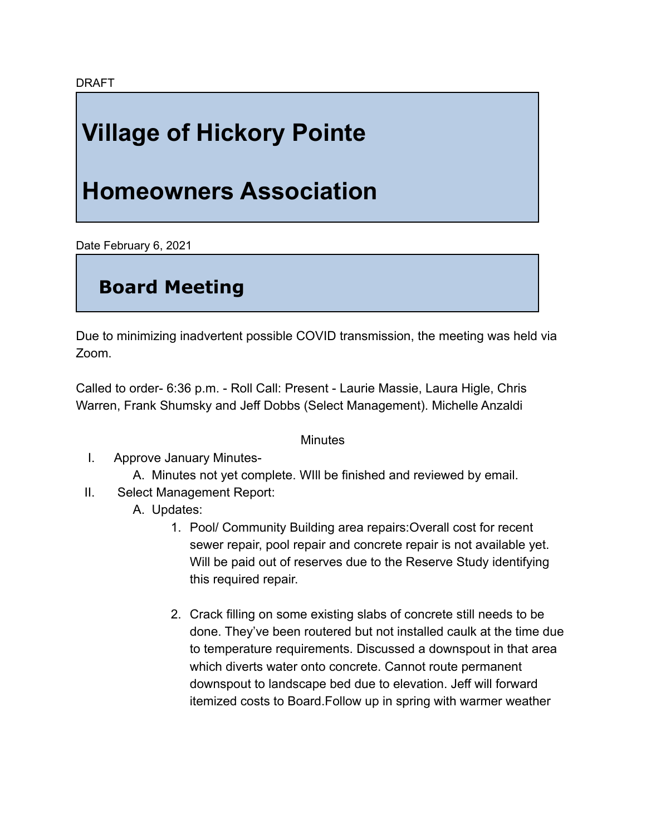DRAFT

# **Village of Hickory Pointe**

## **Homeowners Association**

Date February 6, 2021

### **Board Meeting**

Due to minimizing inadvertent possible COVID transmission, the meeting was held via Zoom.

Called to order- 6:36 p.m. - Roll Call: Present - Laurie Massie, Laura Higle, Chris Warren, Frank Shumsky and Jeff Dobbs (Select Management). Michelle Anzaldi

#### **Minutes**

#### I. Approve January Minutes-

- A. Minutes not yet complete. WIll be finished and reviewed by email.
- II. Select Management Report:
	- A. Updates:
		- 1. Pool/ Community Building area repairs:Overall cost for recent sewer repair, pool repair and concrete repair is not available yet. Will be paid out of reserves due to the Reserve Study identifying this required repair.
		- 2. Crack filling on some existing slabs of concrete still needs to be done. They've been routered but not installed caulk at the time due to temperature requirements. Discussed a downspout in that area which diverts water onto concrete. Cannot route permanent downspout to landscape bed due to elevation. Jeff will forward itemized costs to Board.Follow up in spring with warmer weather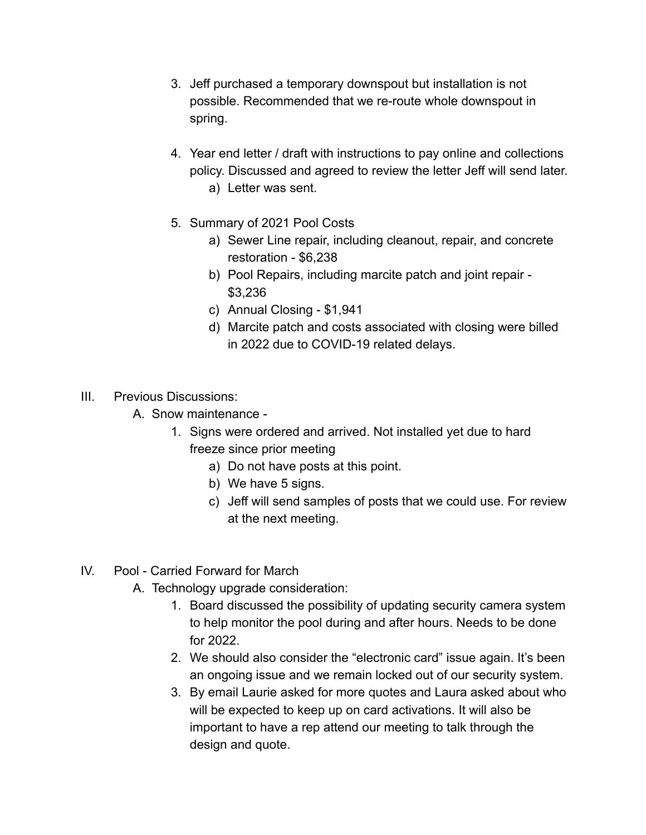- 3. Jeff purchased a temporary downspout but installation is not possible. Recommended that we re-route whole downspout in spring.
- 4. Year end letter / draft with instructions to pay online and collections policy. Discussed and agreed to review the letter Jeff will send later. a) Letter was sent.
- 5. Summary of 2021 Pool Costs
	- a) Sewer Line repair, including cleanout, repair, and concrete restoration - \$6,238
	- b) Pool Repairs, including marcite patch and joint repair \$3,236
	- c) Annual Closing \$1,941
	- d) Marcite patch and costs associated with closing were billed in 2022 due to COVID-19 related delays.
- III. Previous Discussions:
	- A. Snow maintenance
		- 1. Signs were ordered and arrived. Not installed yet due to hard freeze since prior meeting
			- a) Do not have posts at this point.
			- b) We have 5 signs.
			- c) Jeff will send samples of posts that we could use. For review at the next meeting.
- IV. Pool Carried Forward for March
	- A. Technology upgrade consideration:
		- 1. Board discussed the possibility of updating security camera system to help monitor the pool during and after hours. Needs to be done for 2022.
		- 2. We should also consider the "electronic card" issue again. It's been an ongoing issue and we remain locked out of our security system.
		- 3. By email Laurie asked for more quotes and Laura asked about who will be expected to keep up on card activations. It will also be important to have a rep attend our meeting to talk through the design and quote.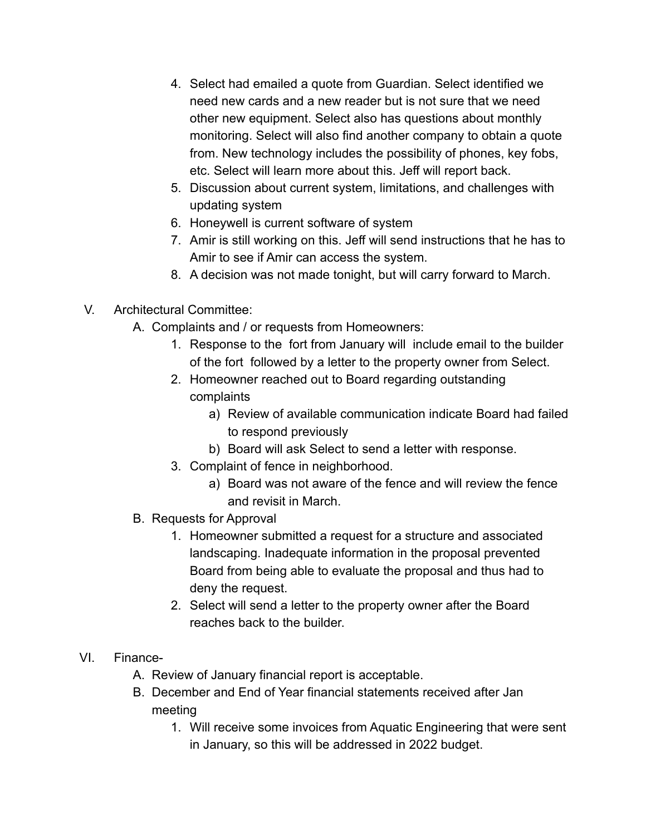- 4. Select had emailed a quote from Guardian. Select identified we need new cards and a new reader but is not sure that we need other new equipment. Select also has questions about monthly monitoring. Select will also find another company to obtain a quote from. New technology includes the possibility of phones, key fobs, etc. Select will learn more about this. Jeff will report back.
- 5. Discussion about current system, limitations, and challenges with updating system
- 6. Honeywell is current software of system
- 7. Amir is still working on this. Jeff will send instructions that he has to Amir to see if Amir can access the system.
- 8. A decision was not made tonight, but will carry forward to March.
- V. Architectural Committee:
	- A. Complaints and / or requests from Homeowners:
		- 1. Response to the fort from January will include email to the builder of the fort followed by a letter to the property owner from Select.
		- 2. Homeowner reached out to Board regarding outstanding complaints
			- a) Review of available communication indicate Board had failed to respond previously
			- b) Board will ask Select to send a letter with response.
		- 3. Complaint of fence in neighborhood.
			- a) Board was not aware of the fence and will review the fence and revisit in March.
	- B. Requests for Approval
		- 1. Homeowner submitted a request for a structure and associated landscaping. Inadequate information in the proposal prevented Board from being able to evaluate the proposal and thus had to deny the request.
		- 2. Select will send a letter to the property owner after the Board reaches back to the builder.
- VI. Finance-
	- A. Review of January financial report is acceptable.
	- B. December and End of Year financial statements received after Jan meeting
		- 1. Will receive some invoices from Aquatic Engineering that were sent in January, so this will be addressed in 2022 budget.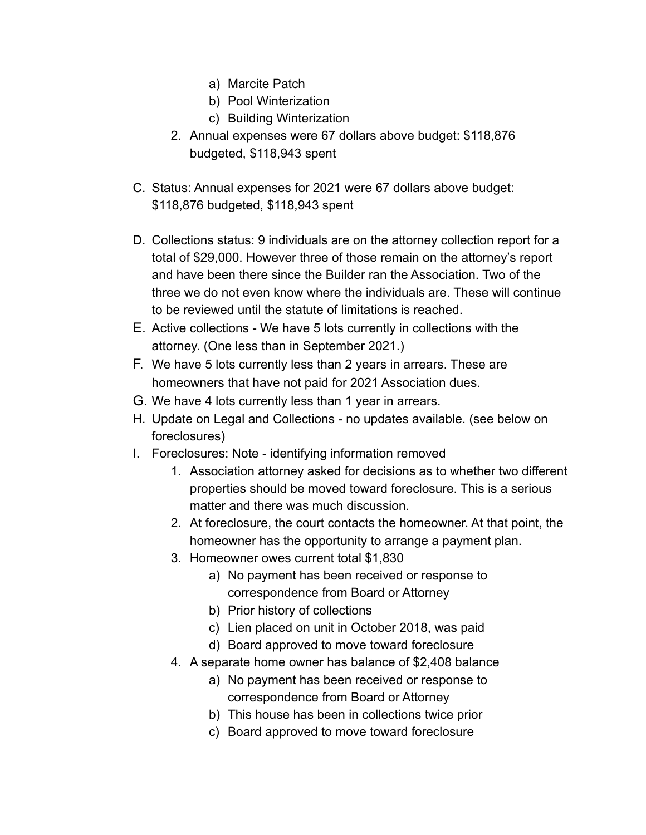- a) Marcite Patch
- b) Pool Winterization
- c) Building Winterization
- 2. Annual expenses were 67 dollars above budget: \$118,876 budgeted, \$118,943 spent
- C. Status: Annual expenses for 2021 were 67 dollars above budget: \$118,876 budgeted, \$118,943 spent
- D. Collections status: 9 individuals are on the attorney collection report for a total of \$29,000. However three of those remain on the attorney's report and have been there since the Builder ran the Association. Two of the three we do not even know where the individuals are. These will continue to be reviewed until the statute of limitations is reached.
- E. Active collections We have 5 lots currently in collections with the attorney. (One less than in September 2021.)
- F. We have 5 lots currently less than 2 years in arrears. These are homeowners that have not paid for 2021 Association dues.
- G. We have 4 lots currently less than 1 year in arrears.
- H. Update on Legal and Collections no updates available. (see below on foreclosures)
- I. Foreclosures: Note identifying information removed
	- 1. Association attorney asked for decisions as to whether two different properties should be moved toward foreclosure. This is a serious matter and there was much discussion.
	- 2. At foreclosure, the court contacts the homeowner. At that point, the homeowner has the opportunity to arrange a payment plan.
	- 3. Homeowner owes current total \$1,830
		- a) No payment has been received or response to correspondence from Board or Attorney
		- b) Prior history of collections
		- c) Lien placed on unit in October 2018, was paid
		- d) Board approved to move toward foreclosure
	- 4. A separate home owner has balance of \$2,408 balance
		- a) No payment has been received or response to correspondence from Board or Attorney
		- b) This house has been in collections twice prior
		- c) Board approved to move toward foreclosure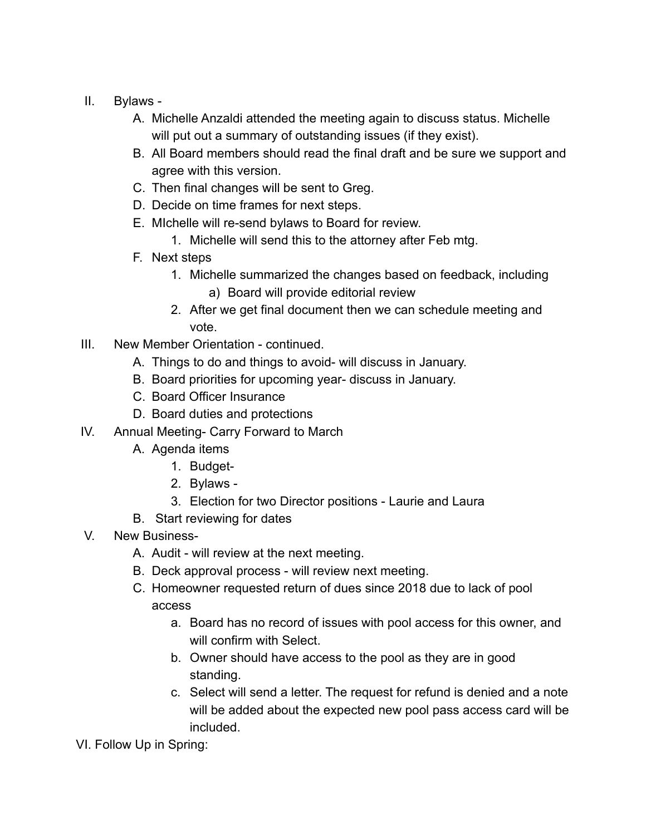- II. Bylaws
	- A. Michelle Anzaldi attended the meeting again to discuss status. Michelle will put out a summary of outstanding issues (if they exist).
	- B. All Board members should read the final draft and be sure we support and agree with this version.
	- C. Then final changes will be sent to Greg.
	- D. Decide on time frames for next steps.
	- E. MIchelle will re-send bylaws to Board for review.
		- 1. Michelle will send this to the attorney after Feb mtg.
	- F. Next steps
		- 1. Michelle summarized the changes based on feedback, including a) Board will provide editorial review
		- 2. After we get final document then we can schedule meeting and vote.
- III. New Member Orientation continued.
	- A. Things to do and things to avoid- will discuss in January.
	- B. Board priorities for upcoming year- discuss in January.
	- C. Board Officer Insurance
	- D. Board duties and protections
- IV. Annual Meeting- Carry Forward to March
	- A. Agenda items
		- 1. Budget-
		- 2. Bylaws -
		- 3. Election for two Director positions Laurie and Laura
	- B. Start reviewing for dates
- V. New Business-
	- A. Audit will review at the next meeting.
	- B. Deck approval process will review next meeting.
	- C. Homeowner requested return of dues since 2018 due to lack of pool access
		- a. Board has no record of issues with pool access for this owner, and will confirm with Select.
		- b. Owner should have access to the pool as they are in good standing.
		- c. Select will send a letter. The request for refund is denied and a note will be added about the expected new pool pass access card will be included.

VI. Follow Up in Spring: